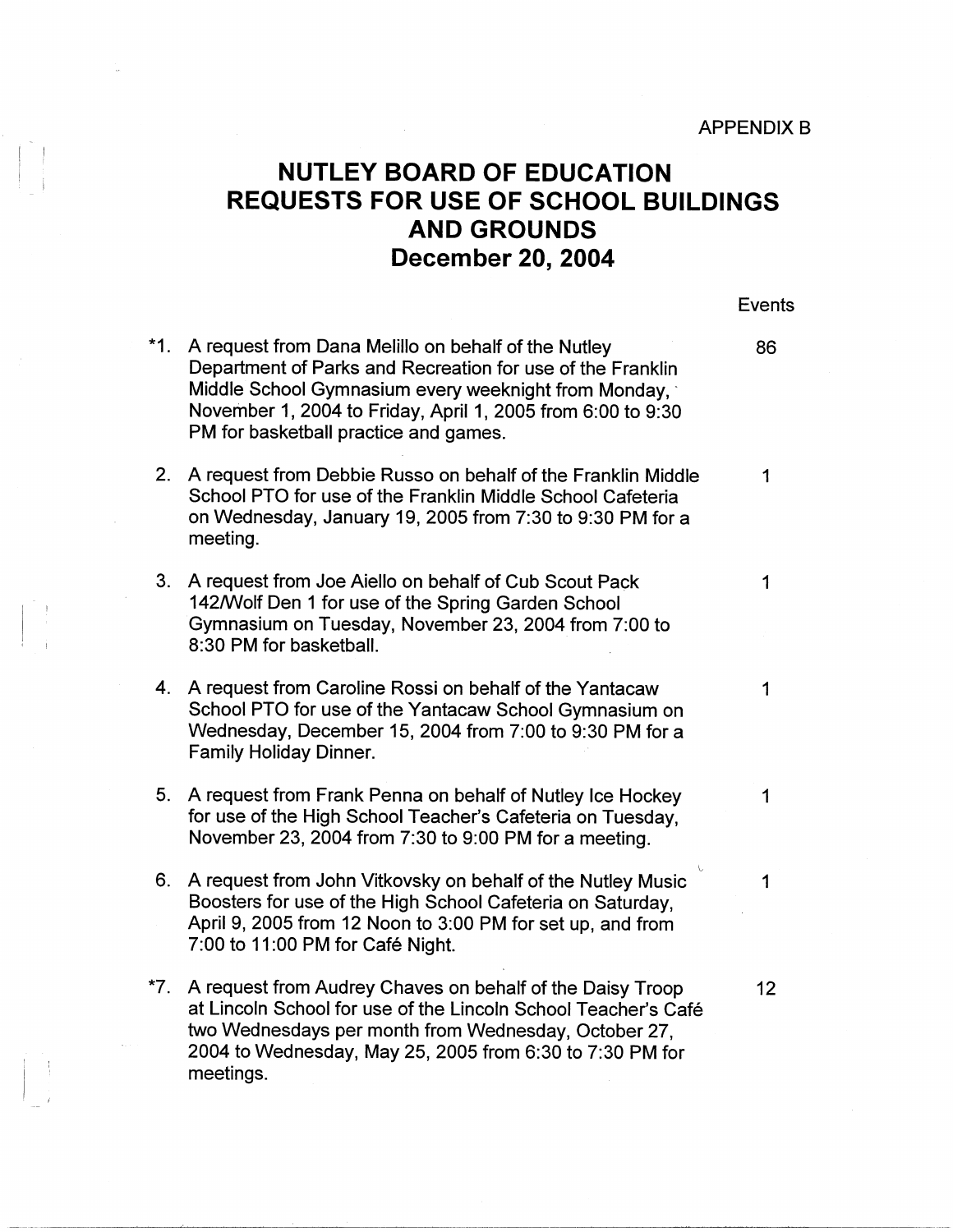**APPENDIX B** 

## **NUTLEY BOARD OF EDUCATION REQUESTS FOR USE OF SCHOOL BUILDINGS AND GROUNDS December 20, 2004**

<sup>I</sup><sup>I</sup>

I

*i* 

Events

|       | *1. A request from Dana Melillo on behalf of the Nutley<br>Department of Parks and Recreation for use of the Franklin<br>Middle School Gymnasium every weeknight from Monday,<br>November 1, 2004 to Friday, April 1, 2005 from 6:00 to 9:30<br>PM for basketball practice and games. | 86          |
|-------|---------------------------------------------------------------------------------------------------------------------------------------------------------------------------------------------------------------------------------------------------------------------------------------|-------------|
|       | 2. A request from Debbie Russo on behalf of the Franklin Middle<br>School PTO for use of the Franklin Middle School Cafeteria<br>on Wednesday, January 19, 2005 from 7:30 to 9:30 PM for a<br>meeting.                                                                                | $\mathbf 1$ |
|       | 3. A request from Joe Aiello on behalf of Cub Scout Pack<br>142/Wolf Den 1 for use of the Spring Garden School<br>Gymnasium on Tuesday, November 23, 2004 from 7:00 to<br>8:30 PM for basketball.                                                                                     | 1           |
|       | 4. A request from Caroline Rossi on behalf of the Yantacaw<br>School PTO for use of the Yantacaw School Gymnasium on<br>Wednesday, December 15, 2004 from 7:00 to 9:30 PM for a<br><b>Family Holiday Dinner.</b>                                                                      | 1           |
| 5.    | A request from Frank Penna on behalf of Nutley Ice Hockey<br>for use of the High School Teacher's Cafeteria on Tuesday,<br>November 23, 2004 from 7:30 to 9:00 PM for a meeting.                                                                                                      | 1           |
|       | 6. A request from John Vitkovsky on behalf of the Nutley Music<br>Boosters for use of the High School Cafeteria on Saturday,<br>April 9, 2005 from 12 Noon to 3:00 PM for set up, and from<br>7:00 to 11:00 PM for Café Night.                                                        | 1           |
| $*7.$ | A request from Audrey Chaves on behalf of the Daisy Troop<br>at Lincoln School for use of the Lincoln School Teacher's Café<br>two Wednesdays per month from Wednesday, October 27,<br>2004 to Wednesday, May 25, 2005 from 6:30 to 7:30 PM for<br>meetings.                          | 12          |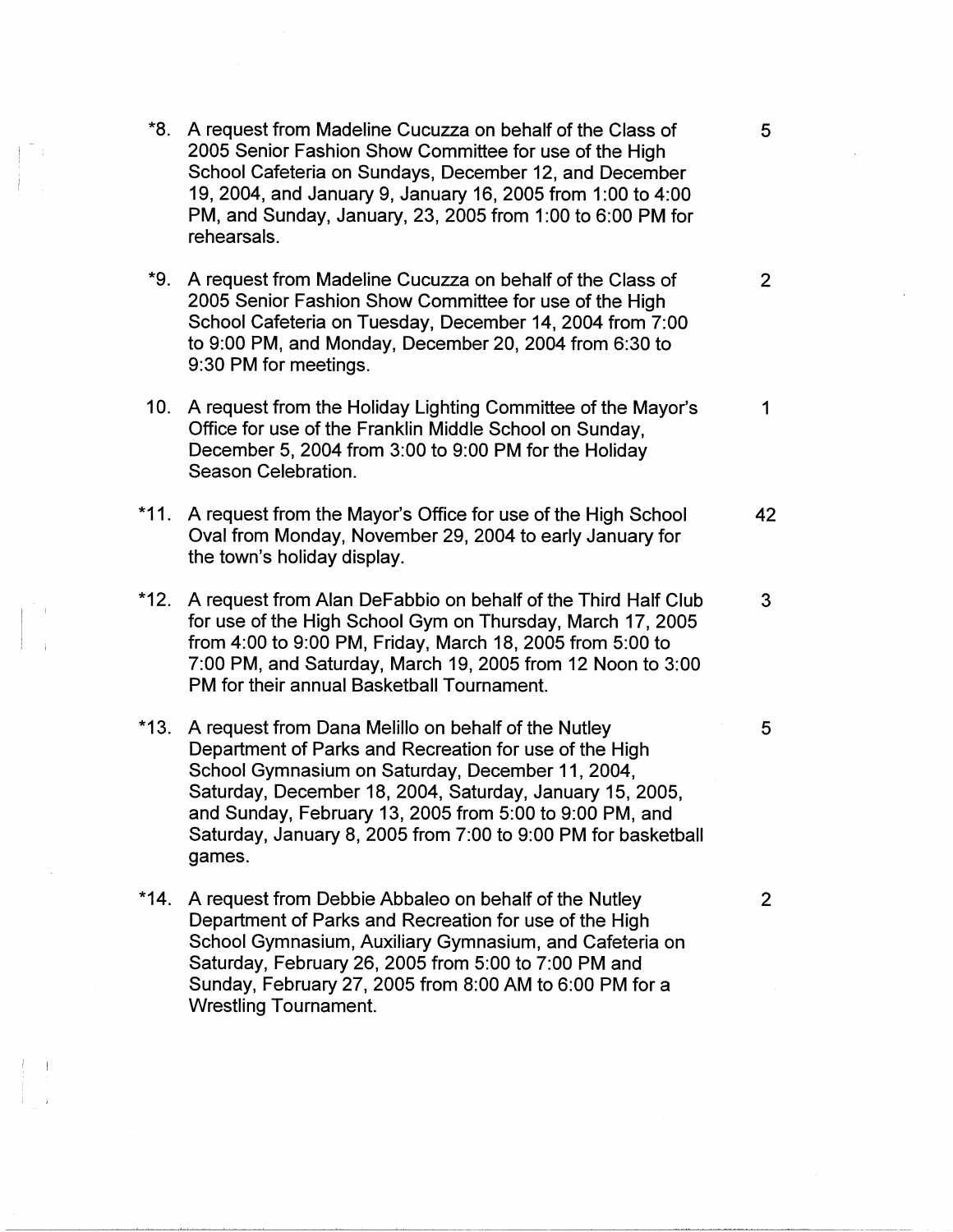- \*8. A request from Madeline Cucuzza on behalf of the Class of 5 2005 Senior Fashion Show Committee for use of the High School Cafeteria on Sundays, December 12, and December 19, 2004, and January 9, January 16, 2005 from 1:00 to 4:00 PM, and Sunday, January, 23, 2005 from 1:00 to 6:00 PM for rehearsals.
- **\*9.** A request from Madeline Cucuzza on behalf of the Class of 2 2005 Senior Fashion Show Committee for use of the High School Cafeteria on Tuesday, December 14, 2004 from 7:00 to 9:00 PM, and Monday, December 20, 2004 from 6:30 to 9:30 PM for meetings.
- 10. A request from the Holiday Lighting Committee of the Mayor's 1 Office for use of the Franklin Middle School on Sunday, December 5, 2004 from 3:00 to 9:00 PM for the Holiday Season Celebration.
- \*11. A request from the Mayor's Office for use of the High School **42**  Oval from Monday, November 29, 2004 to early January for the town's holiday display.
- \*12. A request from Alan DeFabbio on behalf of the Third Half Club 3 for use of the High School Gym on Thursday, March 17, 2005 from 4:00 to 9:00 PM, Friday, March 18, 2005 from 5:00 to 7:00 PM, and Saturday, March 19, 2005 from 12 Noon to 3:00 PM for their annual Basketball Tournament.

I

 $\mathbf{I}$ 

!

- \*13. A request from Dana Melillo on behalf of the Nutley 5 Department of Parks and Recreation for use of the High School Gymnasium on Saturday, December 11, 2004, Saturday, December 18, 2004, Saturday, January 15, 2005, and Sunday, February 13, 2005 from 5:00 to 9:00 PM, and Saturday, January 8, 2005 from 7:00 to 9:00 PM for basketball games.
- \*14. A request from Debbie Abbaleo on behalf of the Nutley 2 Department of Parks and Recreation for use of the High School Gymnasium, Auxiliary Gymnasium, and Cafeteria on Saturday, February 26, 2005 from 5:00 to 7:00 PM and Sunday, February 27, 2005 from 8:00 AM to 6:00 PM for a Wrestling Tournament.